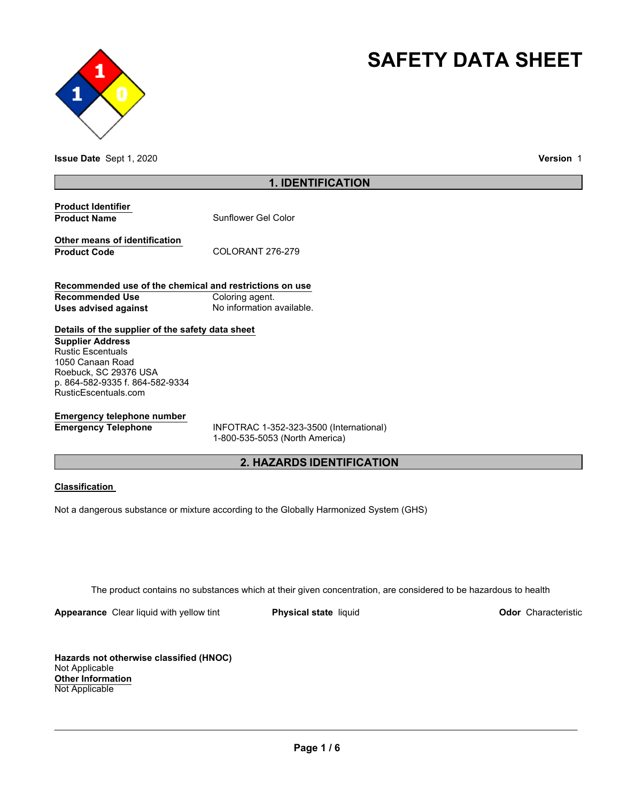



**Issue Date** Sept 1, 2020 **Version** 1

## **1. IDENTIFICATION**

| <b>Product Identifier</b> |                     |
|---------------------------|---------------------|
| <b>Product Name</b>       | Sunflower Gel Color |

**Other means of identification** Product Code COLORANT 276-279

**Recommended use of the chemical and restrictions on use Recommended Use Coloring agent. Uses advised against No information available.** 

## **Details of the supplier of the safety data sheet**

**Supplier Address** Rustic Escentuals 1050 Canaan Road Roebuck, SC 29376 USA p. 864-582-9335 f. 864-582-9334 RusticEscentuals.com

## **Emergency telephone number**

**Emergency Telephone** INFOTRAC 1-352-323-3500 (International) 1-800-535-5053 (North America)

## **2. HAZARDS IDENTIFICATION**

## **Classification**

Not a dangerous substance or mixture according to the Globally Harmonized System (GHS)

The product contains no substances which at their given concentration, are considered to be hazardous to health

**Appearance** Clear liquid with yellow tint **Physical state** liquid **Physical state Construction Odor** Characteristic

**Hazards not otherwise classified (HNOC)** Not Applicable **Other Information** Not Applicable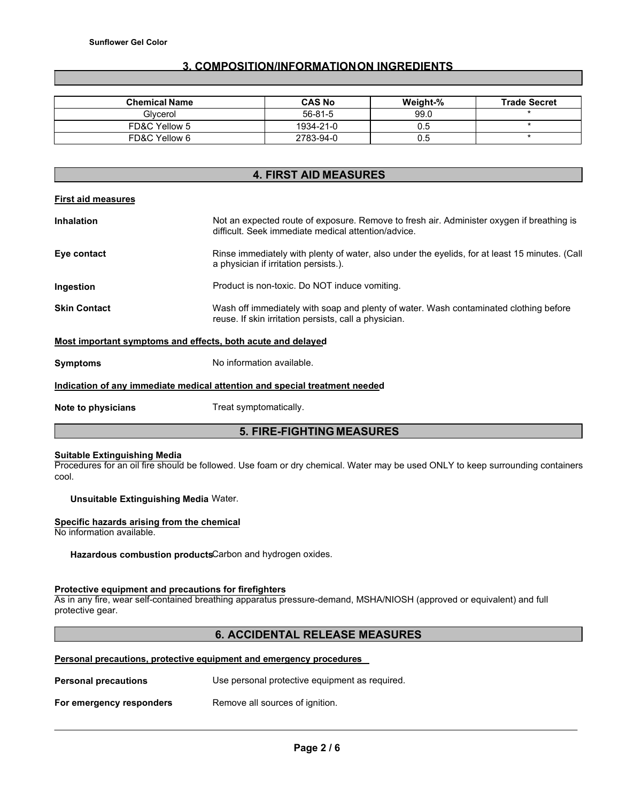## **3. COMPOSITION/INFORMATION ON INGREDIENTS**

| <b>Chemical Name</b> | <b>CAS No</b> | Weight-% | <b>Trade Secret</b> |
|----------------------|---------------|----------|---------------------|
| Glycerol             | 56-81-5       | 99.0     |                     |
| FD&C Yellow 5        | 1934-21-0     | 0.5      |                     |
| FD&C Yellow 6        | 2783-94-0     | 0.5      |                     |

# **4. FIRST AID MEASURES Inhalation** Not an expected route of exposure. Remove to fresh air. Administer oxygen if breathing is difficult. Seek immediate medical attention/advice.

| Eye contact | Rinse immediately with plenty of water, also under the eyelids, for at least 15 minutes. (Call<br>a physician if irritation persists.). |
|-------------|-----------------------------------------------------------------------------------------------------------------------------------------|
|             |                                                                                                                                         |

- **Ingestion** Product is non-toxic. Do NOT induce vomiting.
- **Skin Contact Wash off immediately with soap and plenty of water. Wash contaminated clothing before** reuse. If skin irritation persists, call a physician.

## **Most important symptoms and effects, both acute and delayed**

| Symptoms | No information available. |
|----------|---------------------------|
|          |                           |

## **Indication of any immediate medical attention and special treatment needed**

**Note to physicians Treat symptomatically.** 

**First aid measures**

## **5. FIRE-FIGHTING MEASURES**

#### **Suitable Extinguishing Media**

Procedures for an oil fire should be followed. Use foam or dry chemical. Water may be used ONLY to keep surrounding containers cool.

## **Unsuitable Extinguishing Media** Water.

## **Specific hazards arising from the chemical**

No information available.

**Hazardous combustion products**Carbon and hydrogen oxides.

## **Protective equipment and precautions for firefighters**

As in any fire, wear self-contained breathing apparatus pressure-demand, MSHA/NIOSH (approved or equivalent) and full protective gear.

## **6. ACCIDENTAL RELEASE MEASURES**

## **Personal precautions, protective equipment and emergency procedures**

| <b>Personal precautions</b> | Use personal protective equipment as required. |  |  |
|-----------------------------|------------------------------------------------|--|--|
| For emergency responders    | Remove all sources of ignition.                |  |  |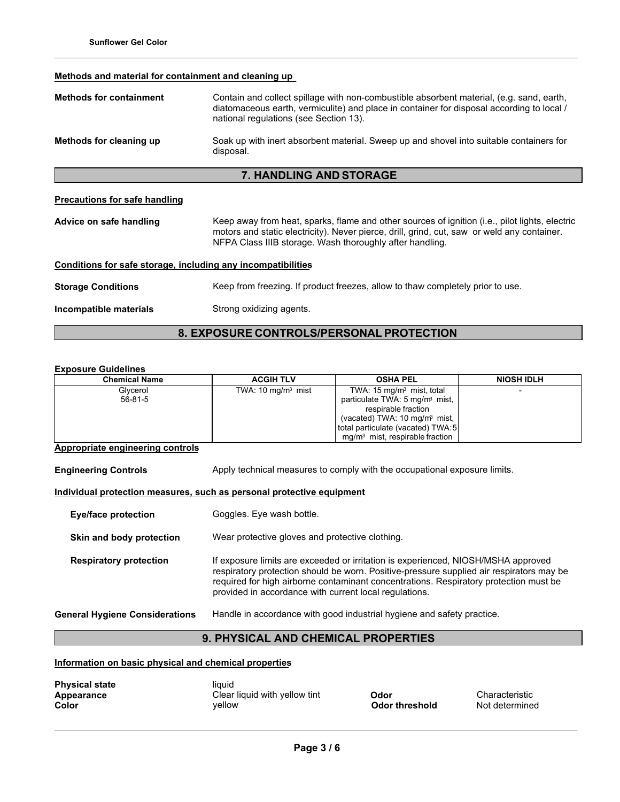## **Methods and material for containment and cleaning up**

| <b>Methods for containment</b>                                                                                           | Contain and collect spillage with non-combustible absorbent material, (e.g. sand, earth,<br>diatomaceous earth, vermiculite) and place in container for disposal according to local /<br>national regulations (see Section 13). |  |  |  |
|--------------------------------------------------------------------------------------------------------------------------|---------------------------------------------------------------------------------------------------------------------------------------------------------------------------------------------------------------------------------|--|--|--|
| Methods for cleaning up                                                                                                  | Soak up with inert absorbent material. Sweep up and shovel into suitable containers for<br>disposal.                                                                                                                            |  |  |  |
| <b>7. HANDLING AND STORAGE</b>                                                                                           |                                                                                                                                                                                                                                 |  |  |  |
| <b>Precautions for safe handling</b><br>Advice on safe handling                                                          | Keep away from heat, sparks, flame and other sources of ignition (i.e., pilot lights, electric<br>motors and static electricity). Never pierce, drill, grind, cut, saw or weld any container.                                   |  |  |  |
| NFPA Class IIIB storage. Wash thoroughly after handling.<br>Conditions for safe storage, including any incompatibilities |                                                                                                                                                                                                                                 |  |  |  |
|                                                                                                                          |                                                                                                                                                                                                                                 |  |  |  |
| <b>Storage Conditions</b>                                                                                                | Keep from freezing. If product freezes, allow to thaw completely prior to use.                                                                                                                                                  |  |  |  |
| Incompatible materials                                                                                                   | Strong oxidizing agents.                                                                                                                                                                                                        |  |  |  |

## **8. EXPOSURE CONTROLS/PERSONAL PROTECTION**

## **Exposure Guidelines**

| <b>Chemical Name</b> | <b>ACGIH TLV</b>            | <b>OSHA PEL</b>                            | <b>NIOSH IDLH</b> |
|----------------------|-----------------------------|--------------------------------------------|-------------------|
| Glycerol             | TWA: $10 \text{ mg/m}$ mist | TWA: $15 \text{ mg/m}$ mist, total         |                   |
| $56 - 81 - 5$        |                             | particulate TWA: 5 mg/m <sup>3</sup> mist, |                   |
|                      |                             | respirable fraction                        |                   |
|                      |                             | (vacated) TWA: 10 mg/m <sup>3</sup> mist,  |                   |
|                      |                             | total particulate (vacated) TWA:5          |                   |
|                      |                             | $mq/m3$ mist, respirable fraction          |                   |

## **Appropriate engineering controls**

**Engineering Controls** Apply technical measures to comply with the occupational exposure limits.

## **Individual protection measures, such as personal protective equipment**

| <b>Eye/face protection</b>            | Goggles. Eye wash bottle.                                                                                                                                                                                                                                                                                                        |
|---------------------------------------|----------------------------------------------------------------------------------------------------------------------------------------------------------------------------------------------------------------------------------------------------------------------------------------------------------------------------------|
| Skin and body protection              | Wear protective gloves and protective clothing.                                                                                                                                                                                                                                                                                  |
| <b>Respiratory protection</b>         | If exposure limits are exceeded or irritation is experienced, NIOSH/MSHA approved<br>respiratory protection should be worn. Positive-pressure supplied air respirators may be<br>required for high airborne contaminant concentrations. Respiratory protection must be<br>provided in accordance with current local regulations. |
| <b>General Hygiene Considerations</b> | Handle in accordance with good industrial hygiene and safety practice.                                                                                                                                                                                                                                                           |

## **9. PHYSICAL AND CHEMICAL PROPERTIES**

**Information on basic physical and chemical properties**

| <b>Physical state</b><br>Appearance | liquid<br>Clear liquid with yellow tint | <b>Odor</b>           |
|-------------------------------------|-----------------------------------------|-----------------------|
| Color                               | vellow                                  | <b>Odor threshold</b> |

**Characteristic Not determined**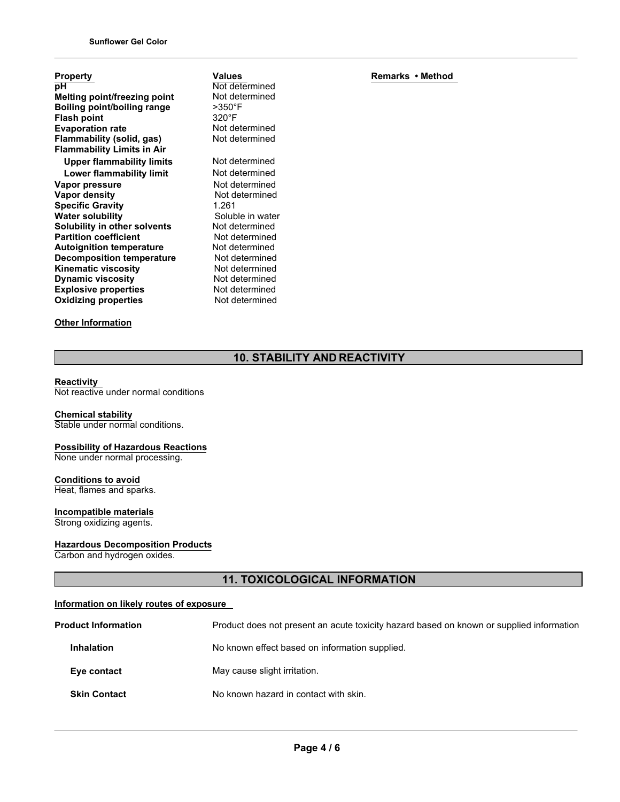| Property                            |
|-------------------------------------|
| рH                                  |
| <b>Melting point/freezing point</b> |
| <b>Boiling point/boiling range</b>  |
| <b>Flash point</b>                  |
| <b>Evaporation rate</b>             |
| Flammability (solid, gas)           |
| <b>Flammability Limits in Air</b>   |
| Upper flammability limits           |
| Lower flammability limit            |
| Vapor pressure                      |
| <b>Vapor density</b>                |
| <b>Specific Gravity</b>             |
| <b>Water solubility</b>             |
| Solubility in other solvents        |
| <b>Partition coefficient</b>        |
| <b>Autoignition temperature</b>     |
| <b>Decomposition temperature</b>    |
| Kinematic viscosity                 |
| <b>Dynamic viscosity</b>            |
| <b>Explosive properties</b>         |
| <b>Oxidizing properties</b>         |
|                                     |

## **Other Information**

Not determined Not determined >350°F 320°F Not determined Not determined **Not determined Not determined Not determined Not determined Specific Gravity** 1.261 Soluble in water Not determined **Not determined Not determined Not determined Not determined Not determined Not determined Not determined** 

**Values**

**Remarks • Method**

## **10. STABILITY AND REACTIVITY**

#### **Reactivity**

Not reactive under normal conditions

## **Chemical stability**

Stable under normal conditions.

#### **Possibility of Hazardous Reactions** None under normal processing.

**Conditions to avoid** Heat, flames and sparks.

## **Incompatible materials**

Strong oxidizing agents.

## **Hazardous Decomposition Products**

Carbon and hydrogen oxides.

## **11. TOXICOLOGICAL INFORMATION**

## **Information on likely routes of exposure**

| <b>Product Information</b> | Product does not present an acute toxicity hazard based on known or supplied information |
|----------------------------|------------------------------------------------------------------------------------------|
| <b>Inhalation</b>          | No known effect based on information supplied.                                           |
| Eye contact                | May cause slight irritation.                                                             |
| <b>Skin Contact</b>        | No known hazard in contact with skin.                                                    |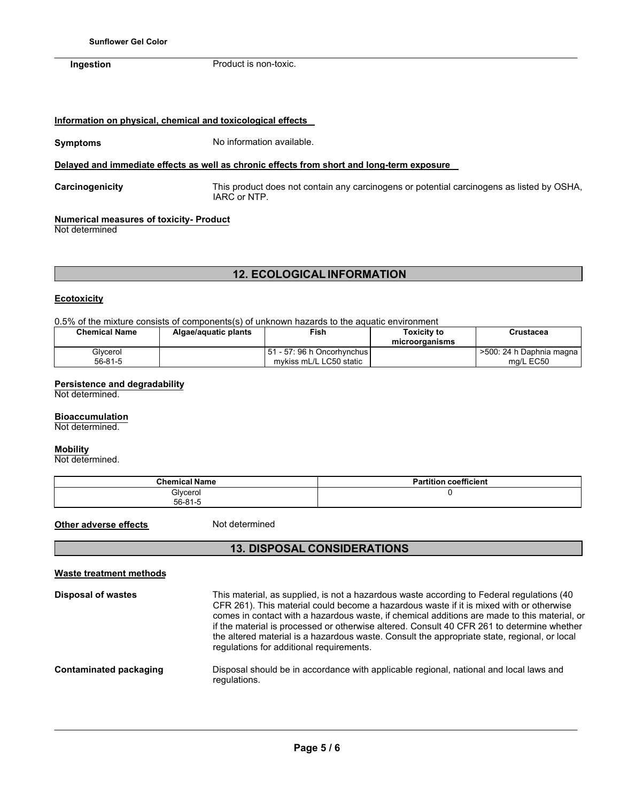## **Information on physical, chemical and toxicological effects**

## **Symptoms** No information available.

## **Delayed and immediate effects as well as chronic effects from short and long-term exposure**

**Carcinogenicity** This product does not contain any carcinogens or potential carcinogens as listed by OSHA, IARC or NTP.

## **Numerical measures of toxicity- Product**

Not determined

## **12. ECOLOGICAL INFORMATION**

## **Ecotoxicity**

0.5% of the mixture consists of components(s) of unknown hazards to the aquatic environment

| <b>Chemical Name</b> | Algae/aquatic plants | Fish                                                      | Toxicitv to<br>microorganisms | Crustacea                               |
|----------------------|----------------------|-----------------------------------------------------------|-------------------------------|-----------------------------------------|
| Glycerol<br>56-81-5  |                      | l 51 - 57: 96 h Oncorhvnchus l<br>mykiss mL/L LC50 static |                               | >500: 24 h Daphnia magna I<br>ma/L EC50 |

## **Persistence and degradability**

Not determined.

#### **Bioaccumulation**

Not determined.

#### **Mobility**

Not determined.

| <b>Chemical Name</b>      | coefficient<br><b>Partition</b> |
|---------------------------|---------------------------------|
| Glycerol<br>$56 - 81 - 5$ |                                 |

**Other adverse effects** Not determined

## **13. DISPOSAL CONSIDERATIONS**

| <b>Waste treatment methods</b> |                                                                                                                                                                                                                                                                                                                                                                                                                                                                                                                                |
|--------------------------------|--------------------------------------------------------------------------------------------------------------------------------------------------------------------------------------------------------------------------------------------------------------------------------------------------------------------------------------------------------------------------------------------------------------------------------------------------------------------------------------------------------------------------------|
| <b>Disposal of wastes</b>      | This material, as supplied, is not a hazardous waste according to Federal regulations (40<br>CFR 261). This material could become a hazardous waste if it is mixed with or otherwise<br>comes in contact with a hazardous waste, if chemical additions are made to this material, or<br>if the material is processed or otherwise altered. Consult 40 CFR 261 to determine whether<br>the altered material is a hazardous waste. Consult the appropriate state, regional, or local<br>regulations for additional requirements. |
| Contaminated packaging         | Disposal should be in accordance with applicable regional, national and local laws and<br>regulations.                                                                                                                                                                                                                                                                                                                                                                                                                         |